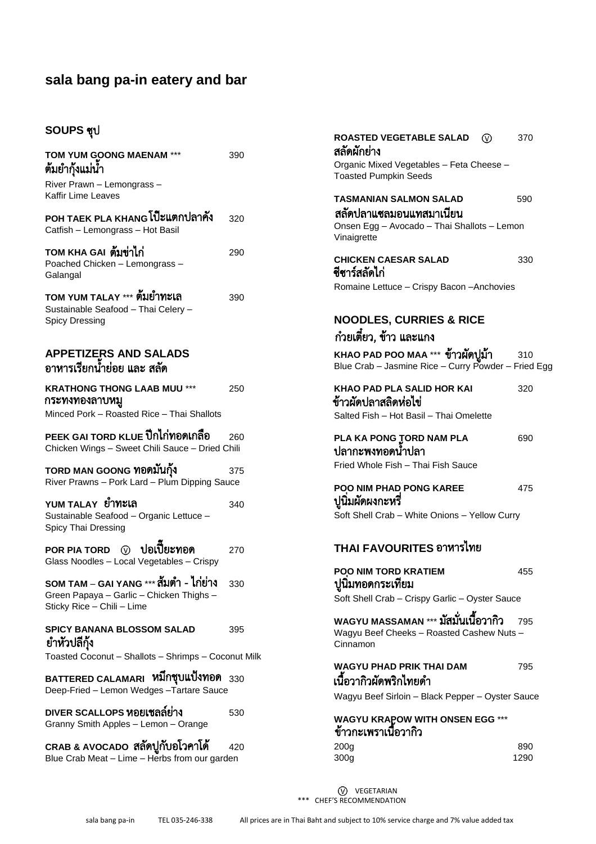# SOUPS ซุป

| TOM YUM GOONG MAENAM ***<br>ต้มยำกุ้งแม่นำ                                                                        | 390 |
|-------------------------------------------------------------------------------------------------------------------|-----|
| River Prawn - Lemongrass -<br>Kaffir Lime Leaves                                                                  |     |
| POH TAEK PLA KHANG โป๊ะแตกปลาคัง<br>Catfish - Lemongrass - Hot Basil                                              | 320 |
| TOM KHA GAI <b>ต้มข่าไก่</b><br>Poached Chicken - Lemongrass -<br>Galangal                                        | 290 |
| TOM YUM TALAY *** <b>ต้มยำทะเล</b><br>Sustainable Seafood - Thai Celery -<br><b>Spicy Dressing</b>                | 390 |
| <b>APPETIZERS AND SALADS</b><br>อาหารเรียกน้ำย่อย และ สลัด                                                        |     |
| <b>KRATHONG THONG LAAB MUU ***</b><br>กระทงทองลาบหมู<br>Minced Pork - Roasted Rice - Thai Shallots                | 250 |
| PEEK GAI TORD KLUE ปีกไก่ <b>ทอดเกลือ</b><br>Chicken Wings - Sweet Chili Sauce - Dried Chili                      | 260 |
| TORD MAN GOONG ทอดมันกุ้ง<br>River Prawns - Pork Lard - Plum Dipping Sauce                                        | 375 |
| YUM TALAY <b>ยำทะเล</b><br>Sustainable Seafood - Organic Lettuce -<br>Spicy Thai Dressing                         | 340 |
| POR PIA TORD (0) <b>ปอเปี๊ยะทอด</b><br>Glass Noodles - Local Vegetables - Crispy                                  | 270 |
| SOM TAM – GAI YANG *** สัมต่ำ - ไก่ย่าง<br>Green Papaya - Garlic - Chicken Thighs -<br>Sticky Rice - Chili - Lime | 330 |
| SPICY BANANA BLOSSOM SALAD<br>ยำหัวปลีกุ้ง<br>Toasted Coconut - Shallots - Shrimps - Coconut Milk                 | 395 |
| BATTERED CALAMARI หมึกชุบแป้งทอด <sub>330</sub><br>Deep-Fried - Lemon Wedges - Tartare Sauce                      |     |
| DIVER SCALLOPS หอยเชลล์ย่าง<br>Granny Smith Apples - Lemon - Orange                                               | 530 |
| CRAB & AVOCADO สลัดปูกับอโวคาโด้<br>Blue Crab Meat - Lime - Herbs from our garden                                 | 420 |

| ROASTED VEGETABLE SALAD<br>⓪<br>สลัดผักย่าง                                                          | 370         |
|------------------------------------------------------------------------------------------------------|-------------|
| Organic Mixed Vegetables - Feta Cheese -<br><b>Toasted Pumpkin Seeds</b>                             |             |
| <b>TASMANIAN SALMON SALAD</b>                                                                        | 590         |
| สลัดปลาแซลมอนแทสมาเนียน<br>Onsen Egg - Avocado - Thai Shallots - Lemon<br>Vinaigrette                |             |
| CHICKEN CAESAR SALAD<br>ชีซาร์สลัดไก่                                                                | 330         |
| Romaine Lettuce - Crispy Bacon - Anchovies                                                           |             |
| <b>NOODLES, CURRIES &amp; RICE</b><br>ก๋วยเตี๋ยว, ข้าว และแกง                                        |             |
| KHAO PAD POO MAA *** ข้าวผัดปูม้า<br>Blue Crab - Jasmine Rice - Curry Powder - Fried Egg             | 310         |
| KHAO PAD PLA SALID HOR KAI<br>ข้าวผัดปลาสลิดห่อไข่<br>Salted Fish - Hot Basil - Thai Omelette        | 320         |
| PLA KA PONG TORD NAM PLA<br>ปลากะพงทอดน้ำปลา<br>Fried Whole Fish - Thai Fish Sauce                   | 690         |
| POO NIM PHAD PONG KAREE<br>ปูนิมผัดผงกะหรื<br>Soft Shell Crab - White Onions - Yellow Curry          | 475         |
| THAI FAVOURITES อาหารไทย                                                                             |             |
| POO NIM TORD KRATIEM<br>ปูนิมทอดกระเทียม                                                             | 455         |
| Soft Shell Crab - Crispy Garlic - Oyster Sauce                                                       |             |
| wAGYU MASSAMAN *** <b>มัสมั่นเนื้อวากิว</b><br>Wagyu Beef Cheeks - Roasted Cashew Nuts -<br>Cinnamon | 795         |
| WAGYU PHAD PRIK THAI DAM<br>เนื้อวากิวผัดพริกไทยดำ                                                   | 795         |
| Wagyu Beef Sirloin - Black Pepper - Oyster Sauce                                                     |             |
| WAGYU KRAPOW WITH ONSEN EGG ***<br>ข้าวกะเพราเนื้อวากิว                                              |             |
| 200 <sub>g</sub><br>300 <sub>g</sub>                                                                 | 890<br>1290 |

W VEGETARIAN \*\*\* CHEF'S RECOMMENDATION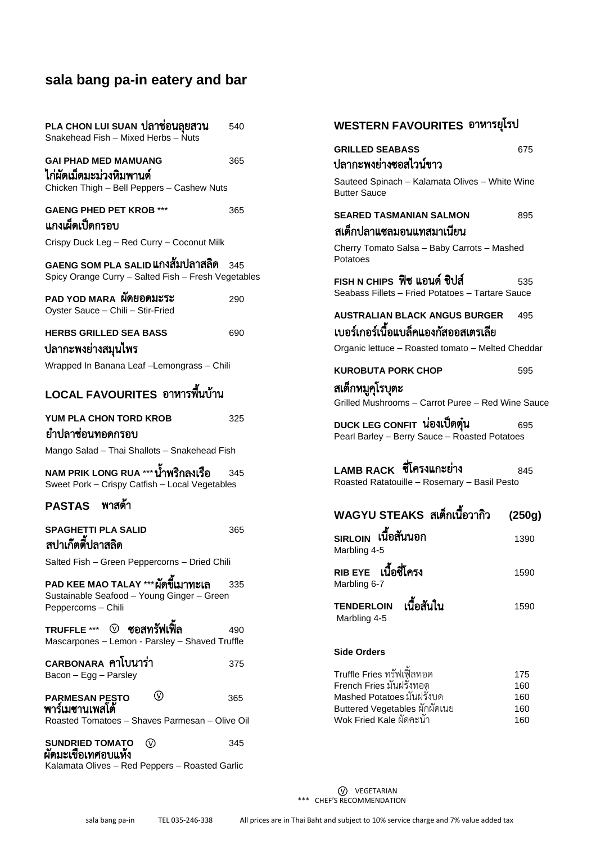| PLA CHON LUI SUAN <b>ปลาช่อนลุยสวน</b><br>Snakehead Fish - Mixed Herbs - Nuts                            | 540 |
|----------------------------------------------------------------------------------------------------------|-----|
| <b>GAI PHAD MED MAMUANG</b><br>ไก่ผัดเม็ดมะม่วงหิมพานต์<br>Chicken Thigh - Bell Peppers - Cashew Nuts    | 365 |
| <b>GAENG PHED PET KROB ***</b><br>แกงเผ็ดเป็ดกรอบ                                                        | 365 |
| Crispy Duck Leg - Red Curry - Coconut Milk                                                               |     |
| GAENG SOM PLA SALID <b>แกงสัมปลาสลิด</b><br>Spicy Orange Curry - Salted Fish - Fresh Vegetables          | 345 |
| PAD YOD MARA <b>ผัดยอดมะระ</b><br>Oyster Sauce - Chili - Stir-Fried                                      | 290 |
| <b>HERBS GRILLED SEA BASS</b><br>ปลากะพงย่างสมุนไพร                                                      | 690 |
| Wrapped In Banana Leaf -Lemongrass - Chili                                                               |     |
| LOCAL FAVOURITES อาหารพื้นบ้าน                                                                           |     |
| YUM PLA CHON TORD KROB<br>ยำปลาช่อนทอดกรอบ                                                               | 325 |
| Mango Salad - Thai Shallots - Snakehead Fish                                                             |     |
| NAM PRIK LONG RUA *** <b>น้ำพริกลงเรือ</b><br>Sweet Pork - Crispy Catfish - Local Vegetables             | 345 |
| PASTAS พาสต้า                                                                                            |     |
| SPAGHETTI PLA SALID<br>สปาเก๊ตตี้ปลาสลิด                                                                 | 365 |
| Salted Fish - Green Peppercorns - Dried Chili                                                            |     |
| PAD KEE MAO TALAY *** ผัดขี้เมาทะเล<br>Sustainable Seafood - Young Ginger - Green<br>Peppercorns - Chili | 335 |
| Mascarpones - Lemon - Parsley - Shaved Truffle                                                           | 490 |
| CARBONARA คาโบนาร่า<br>Bacon - Egg - Parsley                                                             | 375 |
| ∞<br>PARMESAN PESTO<br>พาร์เมซานเพสโต้<br>Roasted Tomatoes - Shaves Parmesan - Olive Oil                 | 365 |
| SUNDRIED TOMATO<br>(v)<br>ผัดมะเขื้อเทศอบแห้ง<br>Kalamata Olives - Red Peppers - Roasted Garlic          | 345 |

| WESTERN FAVOURITES อาหารยุโรป                                                                                              |                   |  |
|----------------------------------------------------------------------------------------------------------------------------|-------------------|--|
| <b>GRILLED SEABASS</b><br>ปลากะพงย่างซอสไวน์ขาว                                                                            | 675               |  |
| Sauteed Spinach - Kalamata Olives - White Wine<br><b>Butter Sauce</b>                                                      |                   |  |
| SEARED TASMANIAN SALMON<br>สเต็กปลาแซลมอนแทสมาเนียน                                                                        | 895               |  |
| Cherry Tomato Salsa - Baby Carrots - Mashed<br>Potatoes                                                                    |                   |  |
| FISH N CHIPS  ฟิช แอนด์ ชิปส์<br>Seabass Fillets - Fried Potatoes - Tartare Sauce                                          | 535               |  |
| AUSTRALIAN BLACK ANGUS BURGER<br>เบอร์เกอร์เนื้อแบล็คแองกัสออสเตรเลีย<br>Organic lettuce - Roasted tomato - Melted Cheddar | 495               |  |
| <b>KUROBUTA PORK CHOP</b>                                                                                                  | 595               |  |
| สเต็กหมูคุโรบุตะ<br>Grilled Mushrooms - Carrot Puree - Red Wine Sauce                                                      |                   |  |
| DUCK LEG CONFIT <b>น่องเป็ดตุ๋น</b><br>Pearl Barley - Berry Sauce - Roasted Potatoes                                       | 695               |  |
| LAMB RACK ซีโครงแกะย่าง<br>Roasted Ratatouille - Rosemary - Basil Pesto                                                    | 845               |  |
| WAGYU STEAKS  สเต็กเนื้อวากิว                                                                                              | (250g)            |  |
| รเRLOIN <b>เนื้อสันนอก</b><br>Marbling 4-5                                                                                 | 1390              |  |
| เนื้อซี่โครง<br><b>RIB EYE</b><br>Marbling 6-7                                                                             | 1590              |  |
| เนื้อสันใน<br><b>TENDERLOIN</b><br>Marbling 4-5                                                                            | 1590              |  |
| Side Orders                                                                                                                |                   |  |
| Truffle Fries ทรัฟเฟื้ลทอด<br>French Fries มันฝรั่งทอด<br>Mashed Potatoes มันฝรั่งบด                                       | 175<br>160        |  |
| Buttered Vegetables ผักผัดเนย<br>Wok Fried Kale ผัดคะน้ำ                                                                   | 160<br>160<br>160 |  |

W VEGETARIAN \*\*\* CHEF'S RECOMMENDATION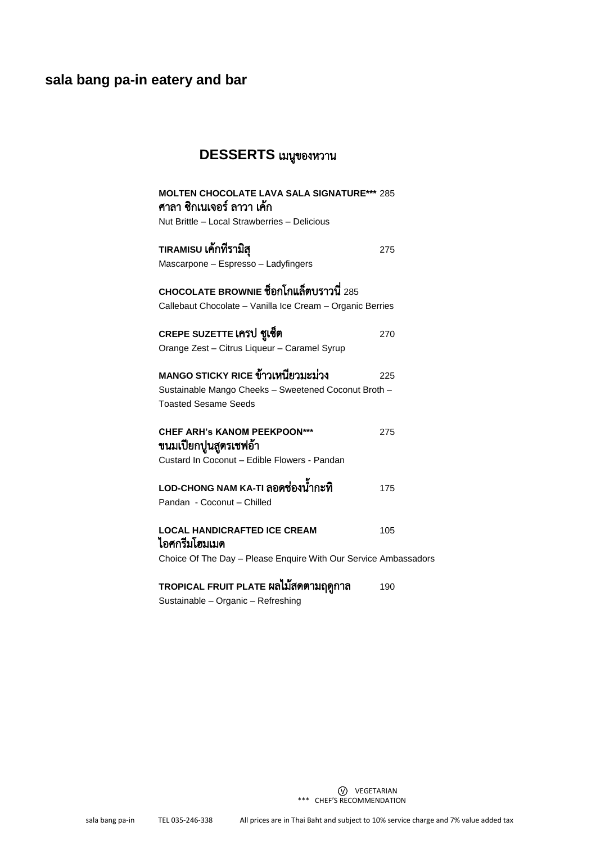# DESSERTS เมนูของหวาน

| <b>MOLTEN CHOCOLATE LAVA SALA SIGNATURE*** 285</b><br>์ศาลา ซิกเนเจอร์ ลาวา เค้ก                      |     |
|-------------------------------------------------------------------------------------------------------|-----|
| Nut Brittle - Local Strawberries - Delicious                                                          |     |
| TIRAMISU เค้กที่รามิสุ                                                                                | 275 |
| Mascarpone - Espresso - Ladyfingers                                                                   |     |
| CHOCOLATE BROWNIE ชื่อกโกแล็ตบราวนี่ 285<br>Callebaut Chocolate - Vanilla Ice Cream - Organic Berries |     |
| CREPE SUZETTE เครป ซูเซ็ต                                                                             | 270 |
| Orange Zest - Citrus Liqueur - Caramel Syrup                                                          |     |
| MANGO STICKY RICE ข้าวเหนียวมะม่วง                                                                    | 225 |
| Sustainable Mango Cheeks - Sweetened Coconut Broth -                                                  |     |
| <b>Toasted Sesame Seeds</b>                                                                           |     |
| <b>CHEF ARH's KANOM PEEKPOON***</b><br>ขนมเปียกปูนสูตรเชฟอ้า                                          | 275 |
| Custard In Coconut - Edible Flowers - Pandan                                                          |     |
| LOD-CHONG NAM KA-TI ลอดช่องน้ำกะทิ                                                                    | 175 |
| Pandan - Coconut - Chilled                                                                            |     |
| <b>LOCAL HANDICRAFTED ICE CREAM</b><br>ไอศกรีมโฮมเมด                                                  | 105 |
| Choice Of The Day - Please Enquire With Our Service Ambassadors                                       |     |
| TROPICAL FRUIT PLATE ผลไม้สดตามฤดูกาล                                                                 | 190 |
| Sustainable - Organic - Refreshing                                                                    |     |

W VEGETARIAN \*\*\* CHEF'S RECOMMENDATION